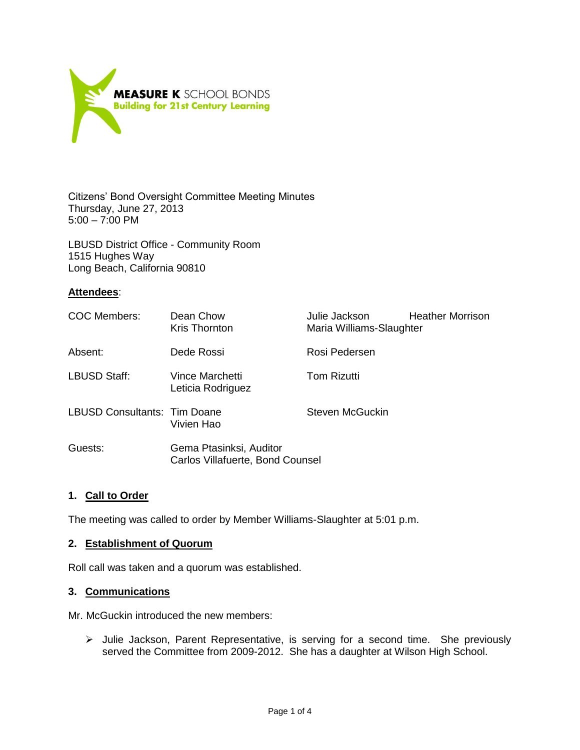

Citizens' Bond Oversight Committee Meeting Minutes Thursday, June 27, 2013  $5:00 - 7:00$  PM

LBUSD District Office - Community Room 1515 Hughes Way Long Beach, California 90810

## **Attendees**:

| COC Members:                 | Dean Chow<br><b>Kris Thornton</b>                           | Julie Jackson<br>Maria Williams-Slaughter | <b>Heather Morrison</b> |
|------------------------------|-------------------------------------------------------------|-------------------------------------------|-------------------------|
| Absent:                      | Dede Rossi                                                  | Rosi Pedersen                             |                         |
| <b>LBUSD Staff:</b>          | Vince Marchetti<br>Leticia Rodriguez                        | <b>Tom Rizutti</b>                        |                         |
| LBUSD Consultants: Tim Doane | Vivien Hao                                                  | Steven McGuckin                           |                         |
| Guests:                      | Gema Ptasinksi, Auditor<br>Carlos Villafuerte, Bond Counsel |                                           |                         |

## **1. Call to Order**

The meeting was called to order by Member Williams-Slaughter at 5:01 p.m.

### **2. Establishment of Quorum**

Roll call was taken and a quorum was established.

### **3. Communications**

Mr. McGuckin introduced the new members:

 Julie Jackson, Parent Representative, is serving for a second time. She previously served the Committee from 2009-2012. She has a daughter at Wilson High School.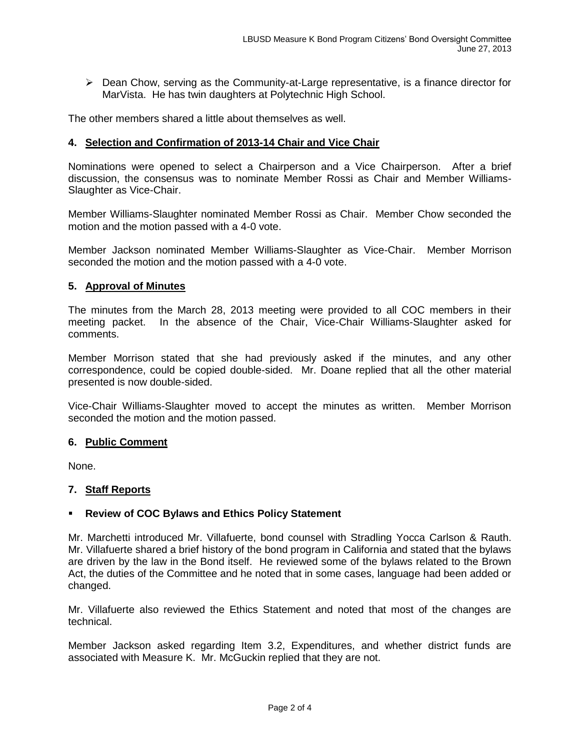$\triangleright$  Dean Chow, serving as the Community-at-Large representative, is a finance director for MarVista. He has twin daughters at Polytechnic High School.

The other members shared a little about themselves as well.

## **4. Selection and Confirmation of 2013-14 Chair and Vice Chair**

Nominations were opened to select a Chairperson and a Vice Chairperson. After a brief discussion, the consensus was to nominate Member Rossi as Chair and Member Williams-Slaughter as Vice-Chair.

Member Williams-Slaughter nominated Member Rossi as Chair. Member Chow seconded the motion and the motion passed with a 4-0 vote.

Member Jackson nominated Member Williams-Slaughter as Vice-Chair. Member Morrison seconded the motion and the motion passed with a 4-0 vote.

### **5. Approval of Minutes**

The minutes from the March 28, 2013 meeting were provided to all COC members in their meeting packet. In the absence of the Chair, Vice-Chair Williams-Slaughter asked for comments.

Member Morrison stated that she had previously asked if the minutes, and any other correspondence, could be copied double-sided. Mr. Doane replied that all the other material presented is now double-sided.

Vice-Chair Williams-Slaughter moved to accept the minutes as written. Member Morrison seconded the motion and the motion passed.

### **6. Public Comment**

None.

### **7. Staff Reports**

## **Review of COC Bylaws and Ethics Policy Statement**

Mr. Marchetti introduced Mr. Villafuerte, bond counsel with Stradling Yocca Carlson & Rauth. Mr. Villafuerte shared a brief history of the bond program in California and stated that the bylaws are driven by the law in the Bond itself. He reviewed some of the bylaws related to the Brown Act, the duties of the Committee and he noted that in some cases, language had been added or changed.

Mr. Villafuerte also reviewed the Ethics Statement and noted that most of the changes are technical.

Member Jackson asked regarding Item 3.2, Expenditures, and whether district funds are associated with Measure K. Mr. McGuckin replied that they are not.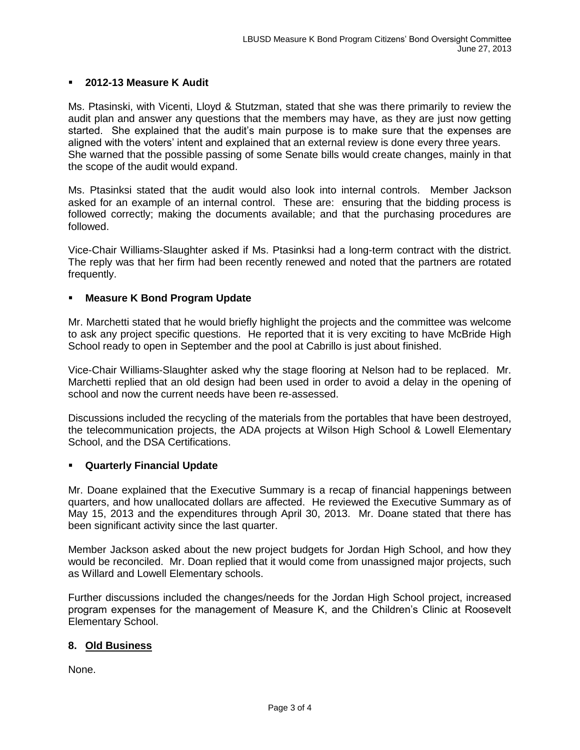## **2012-13 Measure K Audit**

Ms. Ptasinski, with Vicenti, Lloyd & Stutzman, stated that she was there primarily to review the audit plan and answer any questions that the members may have, as they are just now getting started. She explained that the audit's main purpose is to make sure that the expenses are aligned with the voters' intent and explained that an external review is done every three years. She warned that the possible passing of some Senate bills would create changes, mainly in that the scope of the audit would expand.

Ms. Ptasinksi stated that the audit would also look into internal controls. Member Jackson asked for an example of an internal control. These are: ensuring that the bidding process is followed correctly; making the documents available; and that the purchasing procedures are followed.

Vice-Chair Williams-Slaughter asked if Ms. Ptasinksi had a long-term contract with the district. The reply was that her firm had been recently renewed and noted that the partners are rotated frequently.

## **Measure K Bond Program Update**

Mr. Marchetti stated that he would briefly highlight the projects and the committee was welcome to ask any project specific questions. He reported that it is very exciting to have McBride High School ready to open in September and the pool at Cabrillo is just about finished.

Vice-Chair Williams-Slaughter asked why the stage flooring at Nelson had to be replaced. Mr. Marchetti replied that an old design had been used in order to avoid a delay in the opening of school and now the current needs have been re-assessed.

Discussions included the recycling of the materials from the portables that have been destroyed, the telecommunication projects, the ADA projects at Wilson High School & Lowell Elementary School, and the DSA Certifications.

### **Quarterly Financial Update**

Mr. Doane explained that the Executive Summary is a recap of financial happenings between quarters, and how unallocated dollars are affected. He reviewed the Executive Summary as of May 15, 2013 and the expenditures through April 30, 2013. Mr. Doane stated that there has been significant activity since the last quarter.

Member Jackson asked about the new project budgets for Jordan High School, and how they would be reconciled. Mr. Doan replied that it would come from unassigned major projects, such as Willard and Lowell Elementary schools.

Further discussions included the changes/needs for the Jordan High School project, increased program expenses for the management of Measure K, and the Children's Clinic at Roosevelt Elementary School.

## **8. Old Business**

None.